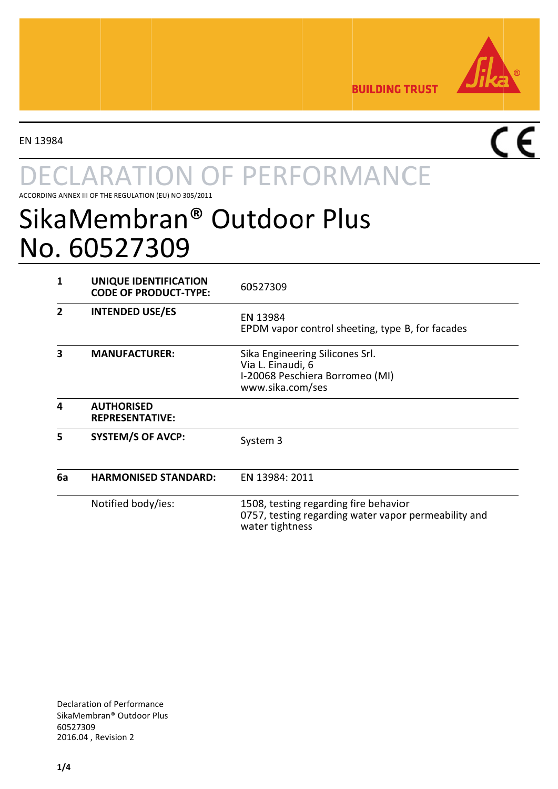

**BUILDING TRUST** 

EN 13984

# **ARATION OF PERFORMANCE**

ACCORDING ANNEX III OF THE REGULATION (EU) NO 305/2011

## SikaMembran® Outdoor Plus No. 60527309

| 1  | UNIQUE IDENTIFICATION<br><b>CODE OF PRODUCT-TYPE:</b> | 60527309                                                                                                         |
|----|-------------------------------------------------------|------------------------------------------------------------------------------------------------------------------|
|    | <b>INTENDED USE/ES</b>                                | EN 13984<br>EPDM vapor control sheeting, type B, for facades                                                     |
| 3  | <b>MANUFACTURER:</b>                                  | Sika Engineering Silicones Srl.<br>Via L. Einaudi, 6<br>I-20068 Peschiera Borromeo (MI)<br>www.sika.com/ses      |
| 4  | <b>AUTHORISED</b><br><b>REPRESENTATIVE:</b>           |                                                                                                                  |
| 5  | <b>SYSTEM/S OF AVCP:</b>                              | System 3                                                                                                         |
| 6a | <b>HARMONISED STANDARD:</b>                           | EN 13984: 2011                                                                                                   |
|    | Notified body/ies:                                    | 1508, testing regarding fire behavior<br>0757, testing regarding water vapor permeability and<br>water tightness |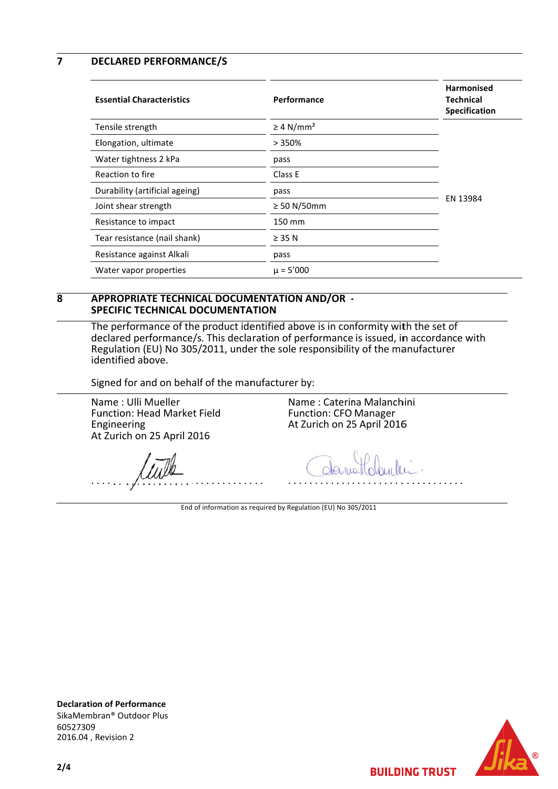$\overline{\mathbf{z}}$ **DECLARED PERFORMANCE/S** 

| <b>Essential Characteristics</b> | Performance                | <b>Harmonised</b><br><b>Technical</b><br>Specification |
|----------------------------------|----------------------------|--------------------------------------------------------|
| Tensile strength                 | $\geq 4$ N/mm <sup>2</sup> |                                                        |
| Elongation, ultimate             | >350%                      |                                                        |
| Water tightness 2 kPa            | pass                       |                                                        |
| Reaction to fire                 | Class E                    | EN 13984                                               |
| Durability (artificial ageing)   | pass                       |                                                        |
| Joint shear strength             | $\geq$ 50 N/50mm           |                                                        |
| Resistance to impact             | 150 mm                     |                                                        |
| Tear resistance (nail shank)     | $\geq$ 35 N                |                                                        |
| Resistance against Alkali        | pass                       |                                                        |
| Water vapor properties           | $\mu = 5'000$              |                                                        |

#### $\overline{\mathbf{R}}$ APPROPRIATE TECHNICAL DOCUMENTATION AND/OR -**SPECIFIC TECHNICAL DOCUMENTATION**

The performance of the product identified above is in conformity with the set of declared performance/s. This declaration of performance is issued, in accordance with Regulation (EU) No 305/2011, under the sole responsibility of the manufacturer identified above.

Signed for and on behalf of the manufacturer by:

Name: Ulli Mueller Function: Head Market Field Engineering At Zurich on 25 April 2016

Name: Caterina Malanchini **Function: CFO Manager** At Zurich on 25 April 2016

End of information as required by Regulation (EU) No 305/2011





**BUILDING TRUST** 

 $2/4$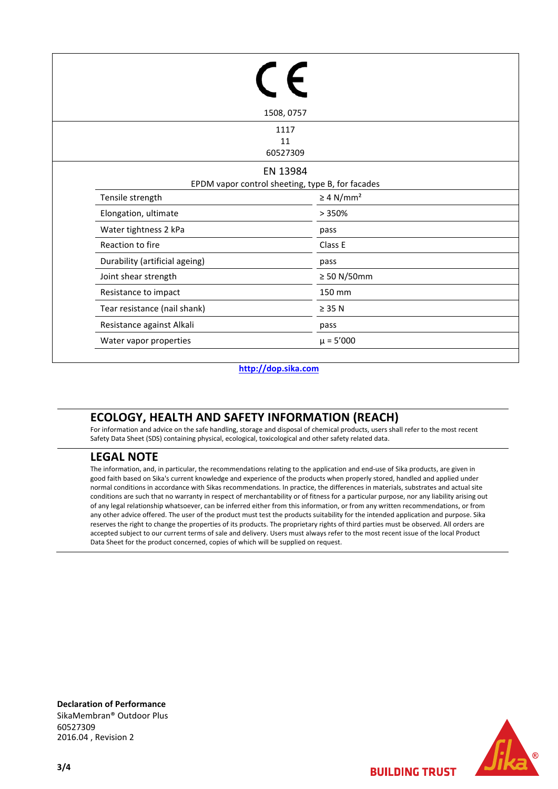| 1508, 0757                     |                                                              |  |  |  |
|--------------------------------|--------------------------------------------------------------|--|--|--|
|                                | 1117<br>11<br>60527309                                       |  |  |  |
|                                | EN 13984<br>EPDM vapor control sheeting, type B, for facades |  |  |  |
| Tensile strength               | $\geq 4$ N/mm <sup>2</sup>                                   |  |  |  |
| Elongation, ultimate           | >350%                                                        |  |  |  |
| Water tightness 2 kPa          | pass                                                         |  |  |  |
| Reaction to fire               | Class E                                                      |  |  |  |
| Durability (artificial ageing) | pass                                                         |  |  |  |
| Joint shear strength           | $\geq 50$ N/50mm                                             |  |  |  |
| Resistance to impact           | 150 mm                                                       |  |  |  |
| Tear resistance (nail shank)   | $\geq$ 35 N                                                  |  |  |  |
| Resistance against Alkali      | pass                                                         |  |  |  |
| Water vapor properties         | $\mu = 5'000$                                                |  |  |  |

#### **http://dop.sika.com**

### **ECOLOGY, HEALTH AND SAFETY INFORMATION (REACH)**

For information and advice on the safe handling, storage and disposal of chemical products, users shall refer to the most recent Safety Data Sheet (SDS) containing physical, ecological, toxicological and other safety related data.

#### **LEGAL NOTE**

The information, and, in particular, the recommendations relating to the application and end-use of Sika products, are given in good faith based on Sika's current knowledge and experience of the products when properly stored, handled and applied under normal conditions in accordance with Sikas recommendations. In practice, the differences in materials, substrates and actual site conditions are such that no warranty in respect of merchantability or of fitness for a particular purpose, nor any liability arising out of any legal relationship whatsoever, can be inferred either from this information, or from any written recommendations, or from any other advice offered. The user of the product must test the products suitability for the intended application and purpose. Sika reserves the right to change the properties of its products. The proprietary rights of third parties must be observed. All orders are accepted subject to our current terms of sale and delivery. Users must always refer to the most recent issue of the local Product Data Sheet for the product concerned, copies of which will be supplied on request.

**Declaration of Performance** SikaMembran® Outdoor Plus 60527309 2016.04 , Revision 2